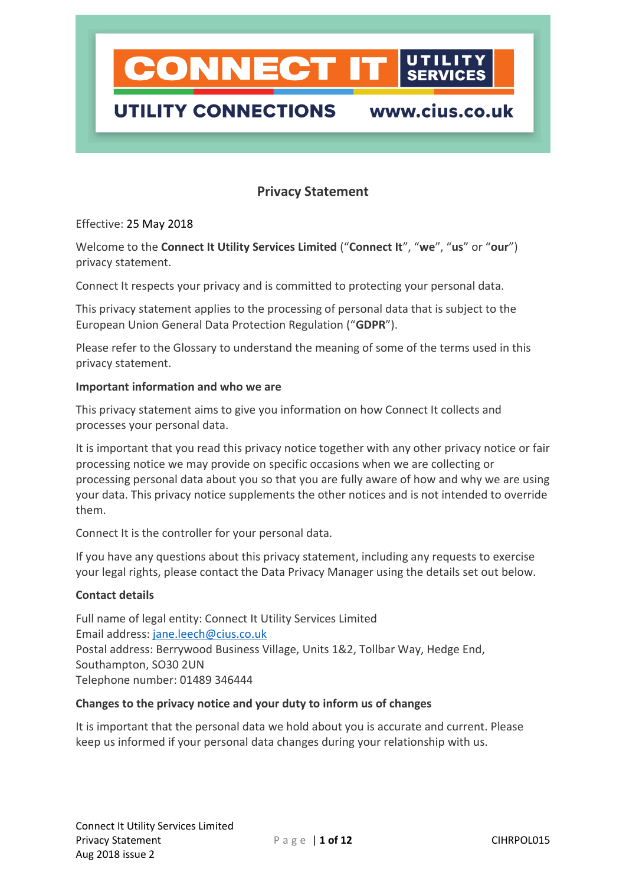

#### **Privacy Statement**

Effective: 25 May 2018

Welcome to the **Connect It Utility Services Limited** ("**Connect It**", "**we**", "**us**" or "**our**") privacy statement.

Connect It respects your privacy and is committed to protecting your personal data.

This privacy statement applies to the processing of personal data that is subject to the European Union General Data Protection Regulation ("**GDPR**").

Please refer to the Glossary to understand the meaning of some of the terms used in this privacy statement.

#### **Important information and who we are**

This privacy statement aims to give you information on how Connect It collects and processes your personal data.

It is important that you read this privacy notice together with any other privacy notice or fair processing notice we may provide on specific occasions when we are collecting or processing personal data about you so that you are fully aware of how and why we are using your data. This privacy notice supplements the other notices and is not intended to override them.

Connect It is the controller for your personal data.

If you have any questions about this privacy statement, including any requests to exercise your legal rights, please contact the Data Privacy Manager using the details set out below.

#### **Contact details**

Full name of legal entity: Connect It Utility Services Limited Email address: [jane.leech@cius.co.uk](mailto:jane.leech@cius.co.uk) Postal address: Berrywood Business Village, Units 1&2, Tollbar Way, Hedge End, Southampton, SO30 2UN Telephone number: 01489 346444

#### **Changes to the privacy notice and your duty to inform us of changes**

It is important that the personal data we hold about you is accurate and current. Please keep us informed if your personal data changes during your relationship with us.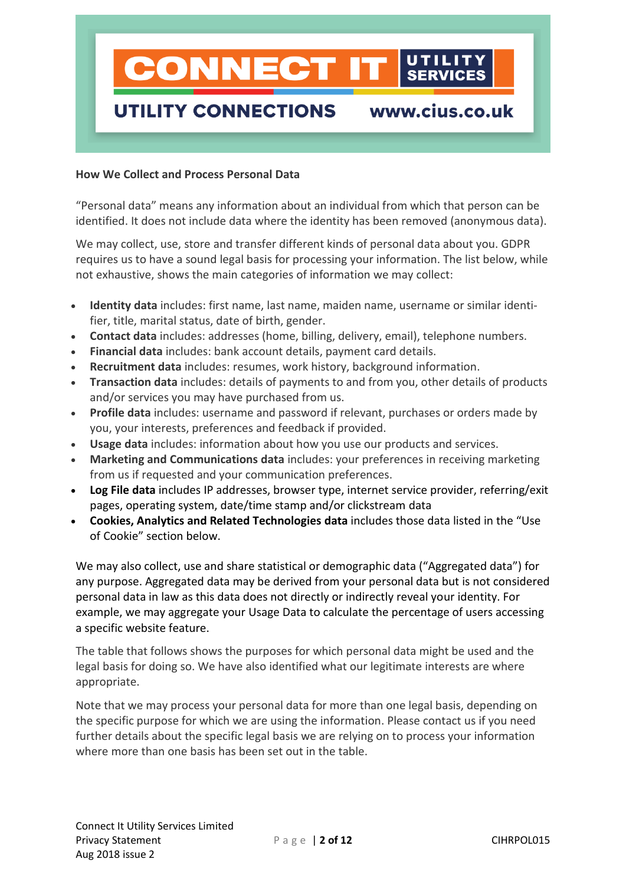## **CONNECT I** www.cius.co.uk **UTILITY CONNECTIONS**

#### **How We Collect and Process Personal Data**

"Personal data" means any information about an individual from which that person can be identified. It does not include data where the identity has been removed (anonymous data).

We may collect, use, store and transfer different kinds of personal data about you. GDPR requires us to have a sound legal basis for processing your information. The list below, while not exhaustive, shows the main categories of information we may collect:

- **Identity data** includes: first name, last name, maiden name, username or similar identifier, title, marital status, date of birth, gender.
- **Contact data** includes: addresses (home, billing, delivery, email), telephone numbers.
- **Financial data** includes: bank account details, payment card details.
- **Recruitment data** includes: resumes, work history, background information.
- **Transaction data** includes: details of payments to and from you, other details of products and/or services you may have purchased from us.
- **Profile data** includes: username and password if relevant, purchases or orders made by you, your interests, preferences and feedback if provided.
- **Usage data** includes: information about how you use our products and services.
- **Marketing and Communications data** includes: your preferences in receiving marketing from us if requested and your communication preferences.
- **Log File data** includes IP addresses, browser type, internet service provider, referring/exit pages, operating system, date/time stamp and/or clickstream data
- **Cookies, Analytics and Related Technologies data** includes those data listed in the "Use of Cookie" section below.

We may also collect, use and share statistical or demographic data ("Aggregated data") for any purpose. Aggregated data may be derived from your personal data but is not considered personal data in law as this data does not directly or indirectly reveal your identity. For example, we may aggregate your Usage Data to calculate the percentage of users accessing a specific website feature.

The table that follows shows the purposes for which personal data might be used and the legal basis for doing so. We have also identified what our legitimate interests are where appropriate.

Note that we may process your personal data for more than one legal basis, depending on the specific purpose for which we are using the information. Please contact us if you need further details about the specific legal basis we are relying on to process your information where more than one basis has been set out in the table.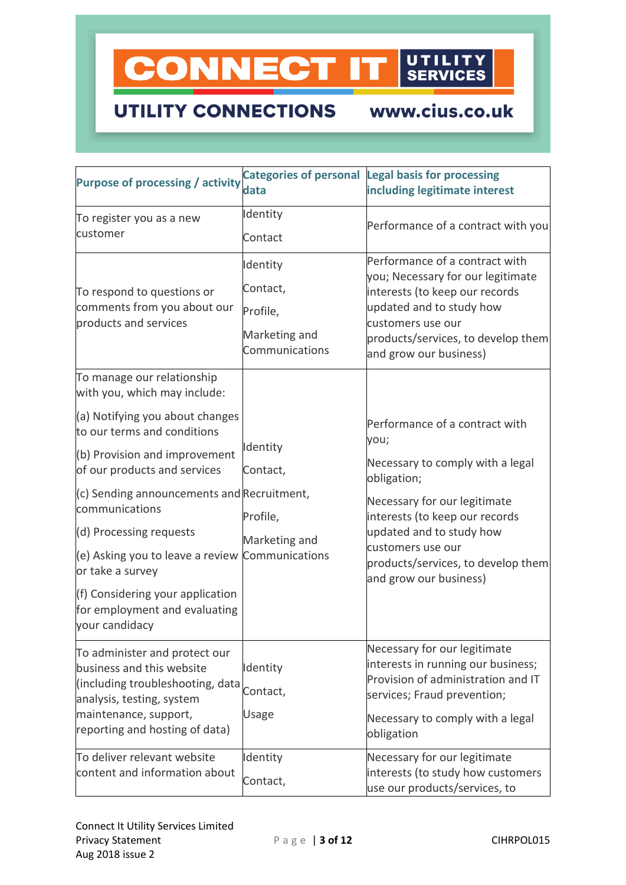

## **UTILITY CONNECTIONS**

www.cius.co.uk

| <b>Purpose of processing / activity</b>                                             | <b>Categories of personal</b><br>data | <b>Legal basis for processing</b><br>including legitimate interest                |
|-------------------------------------------------------------------------------------|---------------------------------------|-----------------------------------------------------------------------------------|
|                                                                                     |                                       |                                                                                   |
| To register you as a new                                                            | Identity                              | Performance of a contract with you                                                |
| customer                                                                            | Contact                               |                                                                                   |
|                                                                                     | Identity                              | Performance of a contract with<br>you; Necessary for our legitimate               |
| To respond to questions or                                                          | Contact,                              | interests (to keep our records                                                    |
| comments from you about our<br>products and services                                | Profile,                              | updated and to study how                                                          |
|                                                                                     | Marketing and                         | customers use our                                                                 |
|                                                                                     | Communications                        | products/services, to develop them<br>and grow our business)                      |
| To manage our relationship<br>with you, which may include:                          |                                       |                                                                                   |
| (a) Notifying you about changes<br>to our terms and conditions                      |                                       | Performance of a contract with<br>you;                                            |
| (b) Provision and improvement<br>of our products and services                       | Identity                              | Necessary to comply with a legal                                                  |
|                                                                                     | Contact,                              | obligation;                                                                       |
| (c) Sending announcements and Recruitment,<br>communications                        |                                       | Necessary for our legitimate<br>interests (to keep our records                    |
|                                                                                     | Profile,                              |                                                                                   |
| (d) Processing requests                                                             | Marketing and                         | updated and to study how                                                          |
| (e) Asking you to leave a review Communications<br>or take a survey                 |                                       | customers use our<br>products/services, to develop them<br>and grow our business) |
| (f) Considering your application<br>for employment and evaluating<br>your candidacy |                                       |                                                                                   |
| To administer and protect our                                                       |                                       | Necessary for our legitimate                                                      |
| business and this website                                                           | Identity                              | interests in running our business;<br>Provision of administration and IT          |
| (including troubleshooting, data<br>analysis, testing, system                       | Contact,                              | services; Fraud prevention;                                                       |
| maintenance, support,<br>reporting and hosting of data)                             | Usage                                 | Necessary to comply with a legal<br>obligation                                    |
| To deliver relevant website<br>content and information about                        | Identity                              | Necessary for our legitimate                                                      |
|                                                                                     | Contact,                              | interests (to study how customers<br>use our products/services, to                |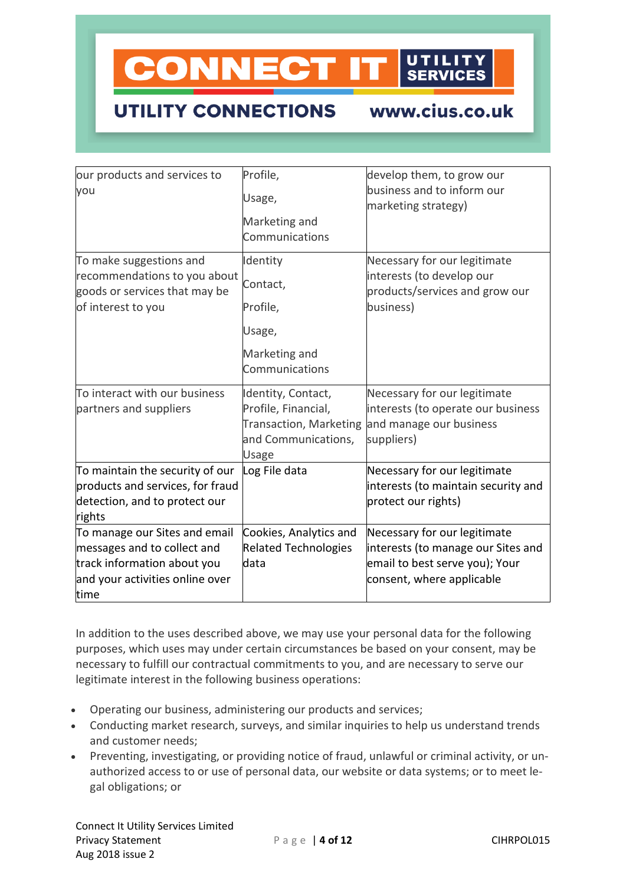## **CONNECT IT**

## **UTILITY CONNECTIONS**

www.cius.co.uk

| our products and services to<br>you                                                                                                    | Profile,<br>Usage,<br>Marketing and<br>Communications                                                      | develop them, to grow our<br>business and to inform our<br>marketing strategy)                                                    |
|----------------------------------------------------------------------------------------------------------------------------------------|------------------------------------------------------------------------------------------------------------|-----------------------------------------------------------------------------------------------------------------------------------|
| To make suggestions and<br>recommendations to you about<br>goods or services that may be<br>of interest to you                         | Identity<br>Contact,<br>Profile,<br>Usage,<br>Marketing and<br>Communications                              | Necessary for our legitimate<br>interests (to develop our<br>products/services and grow our<br>business)                          |
| To interact with our business<br>partners and suppliers                                                                                | Identity, Contact,<br>Profile, Financial,<br><b>Transaction, Marketing</b><br>and Communications,<br>Usage | Necessary for our legitimate<br>interests (to operate our business<br>and manage our business<br>suppliers)                       |
| To maintain the security of our<br>products and services, for fraud<br>detection, and to protect our<br>rights                         | Log File data                                                                                              | Necessary for our legitimate<br>interests (to maintain security and<br>protect our rights)                                        |
| To manage our Sites and email<br>messages and to collect and<br>track information about you<br>and your activities online over<br>time | Cookies, Analytics and<br><b>Related Technologies</b><br>data                                              | Necessary for our legitimate<br>interests (to manage our Sites and<br>email to best serve you); Your<br>consent, where applicable |

In addition to the uses described above, we may use your personal data for the following purposes, which uses may under certain circumstances be based on your consent, may be necessary to fulfill our contractual commitments to you, and are necessary to serve our legitimate interest in the following business operations:

- Operating our business, administering our products and services;
- Conducting market research, surveys, and similar inquiries to help us understand trends and customer needs;
- Preventing, investigating, or providing notice of fraud, unlawful or criminal activity, or unauthorized access to or use of personal data, our website or data systems; or to meet legal obligations; or

Connect It Utility Services Limited P a g e | 4 of 12 CIHRPOL015 Aug 2018 issue 2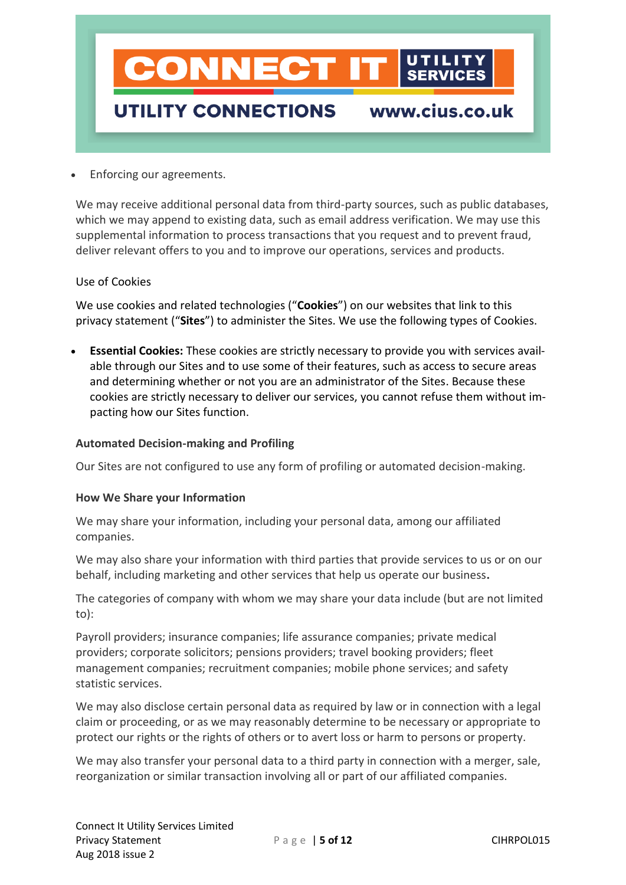

• Enforcing our agreements.

We may receive additional personal data from third-party sources, such as public databases, which we may append to existing data, such as email address verification. We may use this supplemental information to process transactions that you request and to prevent fraud, deliver relevant offers to you and to improve our operations, services and products.

#### Use of Cookies

We use cookies and related technologies ("**Cookies**") on our websites that link to this privacy statement ("**Sites**") to administer the Sites. We use the following types of Cookies.

• **Essential Cookies:** These cookies are strictly necessary to provide you with services available through our Sites and to use some of their features, such as access to secure areas and determining whether or not you are an administrator of the Sites. Because these cookies are strictly necessary to deliver our services, you cannot refuse them without impacting how our Sites function.

#### **Automated Decision-making and Profiling**

Our Sites are not configured to use any form of profiling or automated decision-making.

#### **How We Share your Information**

We may share your information, including your personal data, among our affiliated companies.

We may also share your information with third parties that provide services to us or on our behalf, including marketing and other services that help us operate our business**.**

The categories of company with whom we may share your data include (but are not limited to):

Payroll providers; insurance companies; life assurance companies; private medical providers; corporate solicitors; pensions providers; travel booking providers; fleet management companies; recruitment companies; mobile phone services; and safety statistic services.

We may also disclose certain personal data as required by law or in connection with a legal claim or proceeding, or as we may reasonably determine to be necessary or appropriate to protect our rights or the rights of others or to avert loss or harm to persons or property.

We may also transfer your personal data to a third party in connection with a merger, sale, reorganization or similar transaction involving all or part of our affiliated companies.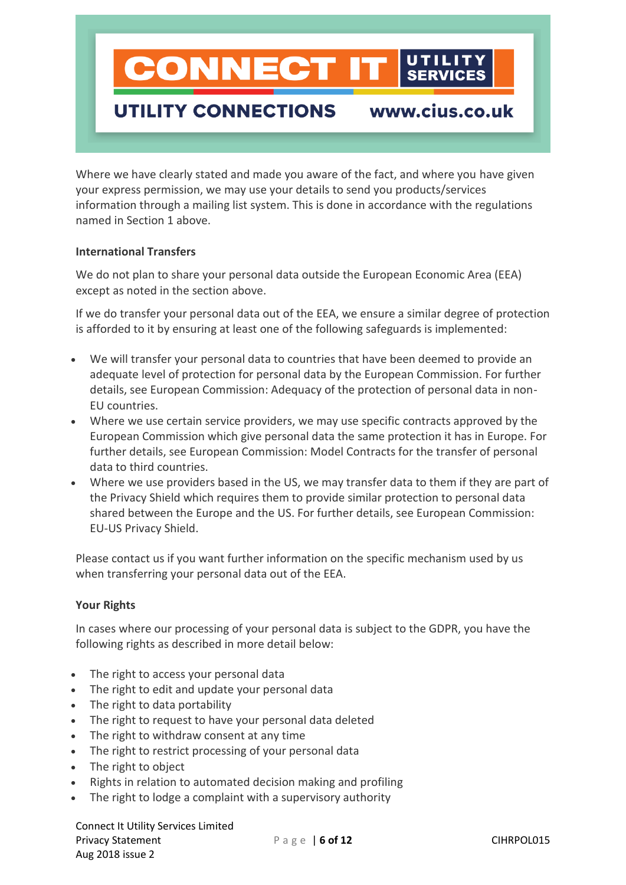

### **UTILITY CONNECTIONS**

### www.cius.co.uk

Where we have clearly stated and made you aware of the fact, and where you have given your express permission, we may use your details to send you products/services information through a mailing list system. This is done in accordance with the regulations named in Section 1 above.

#### **International Transfers**

We do not plan to share your personal data outside the European Economic Area (EEA) except as noted in the section above.

If we do transfer your personal data out of the EEA, we ensure a similar degree of protection is afforded to it by ensuring at least one of the following safeguards is implemented:

- We will transfer your personal data to countries that have been deemed to provide an adequate level of protection for personal data by the European Commission. For further details, see European Commission: Adequacy of the protection of personal data in non-EU countries.
- Where we use certain service providers, we may use specific contracts approved by the European Commission which give personal data the same protection it has in Europe. For further details, see European Commission: Model Contracts for the transfer of personal data to third countries.
- Where we use providers based in the US, we may transfer data to them if they are part of the Privacy Shield which requires them to provide similar protection to personal data shared between the Europe and the US. For further details, see European Commission: EU-US Privacy Shield.

Please contact us if you want further information on the specific mechanism used by us when transferring your personal data out of the EEA.

#### **Your Rights**

In cases where our processing of your personal data is subject to the GDPR, you have the following rights as described in more detail below:

- The right to access your personal data
- The right to edit and update your personal data
- The right to data portability
- The right to request to have your personal data deleted
- The right to withdraw consent at any time
- The right to restrict processing of your personal data
- The right to object
- Rights in relation to automated decision making and profiling
- The right to lodge a complaint with a supervisory authority

Connect It Utility Services Limited Privacy Statement P a g e | **6 of 12** CIHRPOL015 Aug 2018 issue 2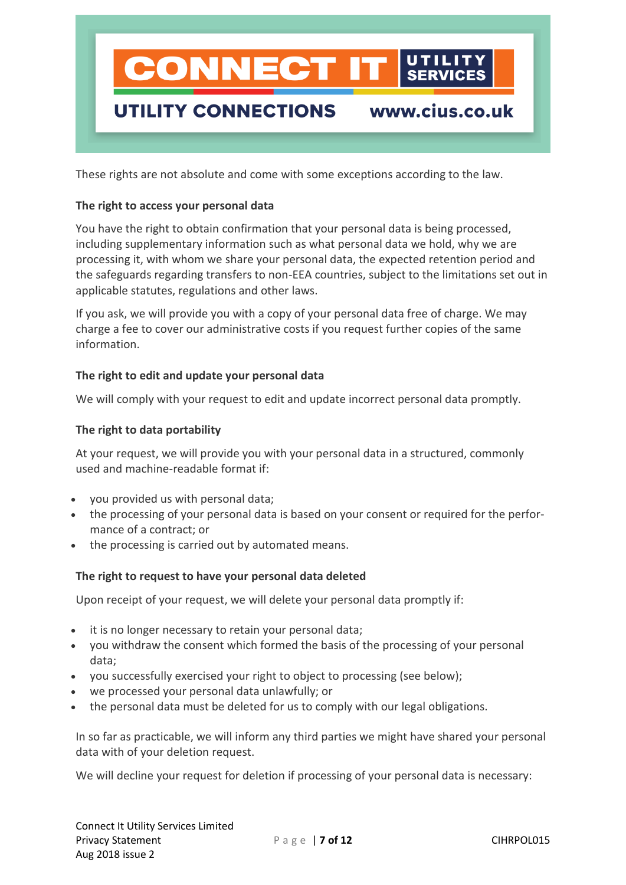## **CONNECT** www.cius.co.uk UTILITY CONNECTIONS

These rights are not absolute and come with some exceptions according to the law.

#### **The right to access your personal data**

You have the right to obtain confirmation that your personal data is being processed, including supplementary information such as what personal data we hold, why we are processing it, with whom we share your personal data, the expected retention period and the safeguards regarding transfers to non-EEA countries, subject to the limitations set out in applicable statutes, regulations and other laws.

If you ask, we will provide you with a copy of your personal data free of charge. We may charge a fee to cover our administrative costs if you request further copies of the same information.

#### **The right to edit and update your personal data**

We will comply with your request to edit and update incorrect personal data promptly.

#### **The right to data portability**

At your request, we will provide you with your personal data in a structured, commonly used and machine-readable format if:

- you provided us with personal data;
- the processing of your personal data is based on your consent or required for the performance of a contract; or
- the processing is carried out by automated means.

#### **The right to request to have your personal data deleted**

Upon receipt of your request, we will delete your personal data promptly if:

- it is no longer necessary to retain your personal data;
- you withdraw the consent which formed the basis of the processing of your personal data;
- you successfully exercised your right to object to processing (see below);
- we processed your personal data unlawfully; or
- the personal data must be deleted for us to comply with our legal obligations.

In so far as practicable, we will inform any third parties we might have shared your personal data with of your deletion request.

We will decline your request for deletion if processing of your personal data is necessary: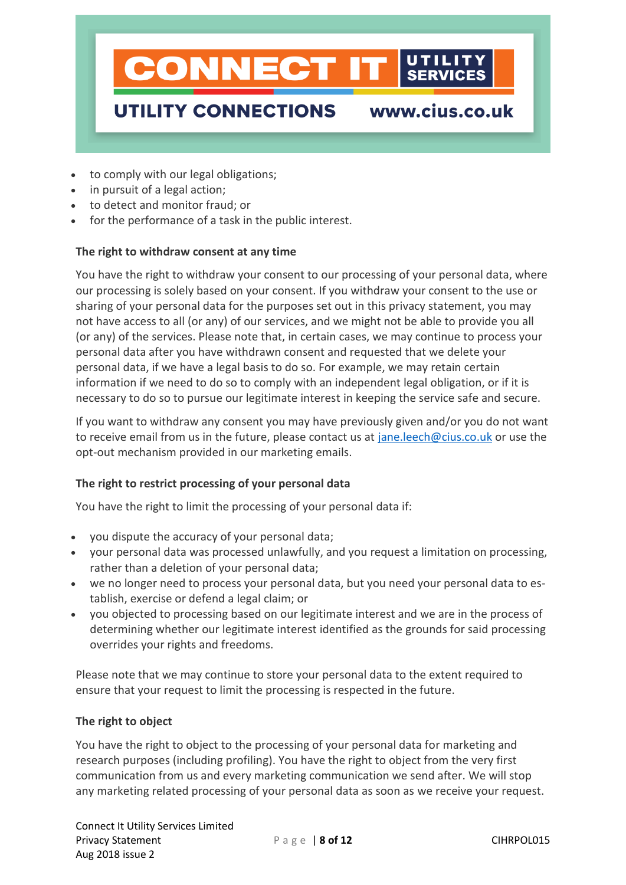

- to comply with our legal obligations;
- in pursuit of a legal action;
- to detect and monitor fraud; or
- for the performance of a task in the public interest.

#### **The right to withdraw consent at any time**

You have the right to withdraw your consent to our processing of your personal data, where our processing is solely based on your consent. If you withdraw your consent to the use or sharing of your personal data for the purposes set out in this privacy statement, you may not have access to all (or any) of our services, and we might not be able to provide you all (or any) of the services. Please note that, in certain cases, we may continue to process your personal data after you have withdrawn consent and requested that we delete your personal data, if we have a legal basis to do so. For example, we may retain certain information if we need to do so to comply with an independent legal obligation, or if it is necessary to do so to pursue our legitimate interest in keeping the service safe and secure.

If you want to withdraw any consent you may have previously given and/or you do not want to receive email from us in the future, please contact us at [jane.leech@cius.co.uk](mailto:jane.leech@cius.co.uk) or use the opt-out mechanism provided in our marketing emails.

#### **The right to restrict processing of your personal data**

You have the right to limit the processing of your personal data if:

- you dispute the accuracy of your personal data;
- your personal data was processed unlawfully, and you request a limitation on processing, rather than a deletion of your personal data;
- we no longer need to process your personal data, but you need your personal data to establish, exercise or defend a legal claim; or
- you objected to processing based on our legitimate interest and we are in the process of determining whether our legitimate interest identified as the grounds for said processing overrides your rights and freedoms.

Please note that we may continue to store your personal data to the extent required to ensure that your request to limit the processing is respected in the future.

#### **The right to object**

You have the right to object to the processing of your personal data for marketing and research purposes (including profiling). You have the right to object from the very first communication from us and every marketing communication we send after. We will stop any marketing related processing of your personal data as soon as we receive your request.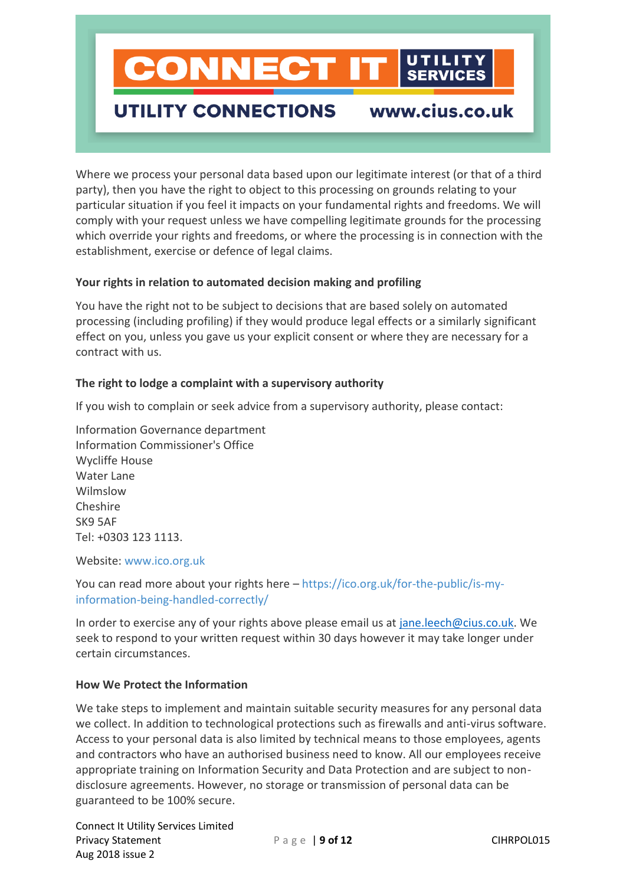

### **UTILITY CONNECTIONS**

www.cius.co.uk

Where we process your personal data based upon our legitimate interest (or that of a third party), then you have the right to object to this processing on grounds relating to your particular situation if you feel it impacts on your fundamental rights and freedoms. We will comply with your request unless we have compelling legitimate grounds for the processing which override your rights and freedoms, or where the processing is in connection with the establishment, exercise or defence of legal claims.

#### **Your rights in relation to automated decision making and profiling**

You have the right not to be subject to decisions that are based solely on automated processing (including profiling) if they would produce legal effects or a similarly significant effect on you, unless you gave us your explicit consent or where they are necessary for a contract with us.

#### **The right to lodge a complaint with a supervisory authority**

If you wish to complain or seek advice from a supervisory authority, please contact:

Information Governance department Information Commissioner's Office Wycliffe House Water Lane Wilmslow Cheshire SK9 5AF Tel: +0303 123 1113.

Website: [www.ico.org.uk](http://www.ico.org.uk/)

You can read more about your rights here – [https://ico.org.uk/for-the-public/is-my](https://ico.org.uk/for-the-public/is-my-information-being-handled-correctly/)[information-being-handled-correctly/](https://ico.org.uk/for-the-public/is-my-information-being-handled-correctly/)

In order to exercise any of your rights above please email us at [jane.leech@cius.co.uk.](mailto:jane.leech@cius.co.uk) We seek to respond to your written request within 30 days however it may take longer under certain circumstances.

#### **How We Protect the Information**

We take steps to implement and maintain suitable security measures for any personal data we collect. In addition to technological protections such as firewalls and anti-virus software. Access to your personal data is also limited by technical means to those employees, agents and contractors who have an authorised business need to know. All our employees receive appropriate training on Information Security and Data Protection and are subject to nondisclosure agreements. However, no storage or transmission of personal data can be guaranteed to be 100% secure.

Connect It Utility Services Limited Privacy Statement P a g e | **9 of 12** CIHRPOL015 Aug 2018 issue 2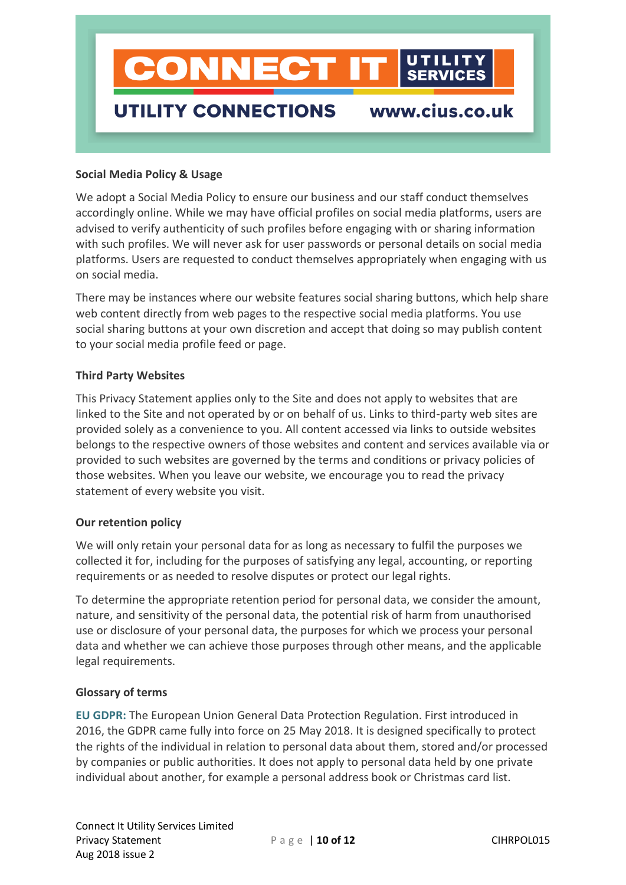

#### **Social Media Policy & Usage**

We adopt a Social Media Policy to ensure our business and our staff conduct themselves accordingly online. While we may have official profiles on social media platforms, users are advised to verify authenticity of such profiles before engaging with or sharing information with such profiles. We will never ask for user passwords or personal details on social media platforms. Users are requested to conduct themselves appropriately when engaging with us on social media.

There may be instances where our website features social sharing buttons, which help share web content directly from web pages to the respective social media platforms. You use social sharing buttons at your own discretion and accept that doing so may publish content to your social media profile feed or page.

#### **Third Party Websites**

This Privacy Statement applies only to the Site and does not apply to websites that are linked to the Site and not operated by or on behalf of us. Links to third-party web sites are provided solely as a convenience to you. All content accessed via links to outside websites belongs to the respective owners of those websites and content and services available via or provided to such websites are governed by the terms and conditions or privacy policies of those websites. When you leave our website, we encourage you to read the privacy statement of every website you visit.

#### **Our retention policy**

We will only retain your personal data for as long as necessary to fulfil the purposes we collected it for, including for the purposes of satisfying any legal, accounting, or reporting requirements or as needed to resolve disputes or protect our legal rights.

To determine the appropriate retention period for personal data, we consider the amount, nature, and sensitivity of the personal data, the potential risk of harm from unauthorised use or disclosure of your personal data, the purposes for which we process your personal data and whether we can achieve those purposes through other means, and the applicable legal requirements.

#### **Glossary of terms**

**EU GDPR:** The European Union General Data Protection Regulation. First introduced in 2016, the GDPR came fully into force on 25 May 2018. It is designed specifically to protect the rights of the individual in relation to personal data about them, stored and/or processed by companies or public authorities. It does not apply to personal data held by one private individual about another, for example a personal address book or Christmas card list.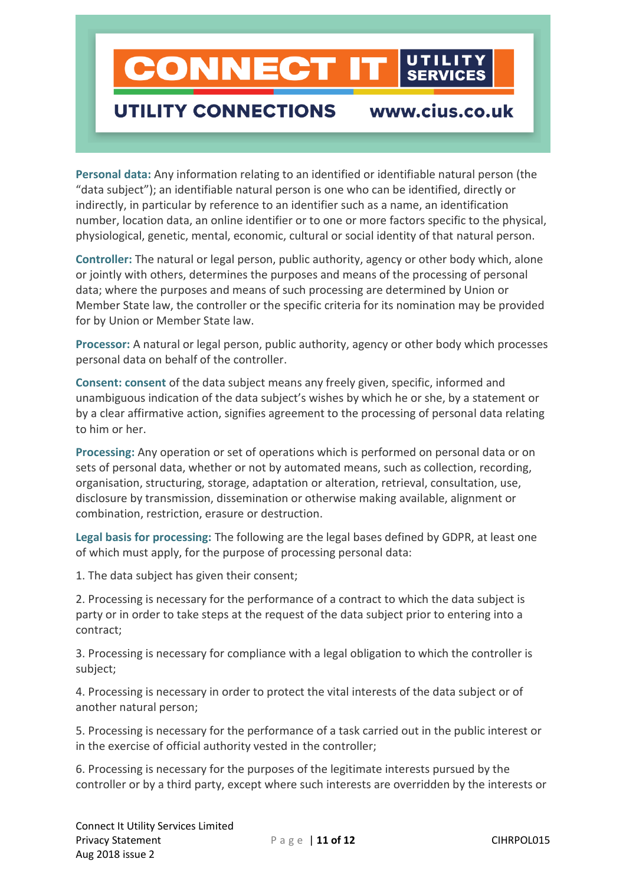# **CONNECT**

## **UTILITY CONNECTIONS**

www.cius.co.uk

**Personal data:** Any information relating to an identified or identifiable natural person (the "data subject"); an identifiable natural person is one who can be identified, directly or indirectly, in particular by reference to an identifier such as a name, an identification number, location data, an online identifier or to one or more factors specific to the physical, physiological, genetic, mental, economic, cultural or social identity of that natural person.

**Controller:** The natural or legal person, public authority, agency or other body which, alone or jointly with others, determines the purposes and means of the processing of personal data; where the purposes and means of such processing are determined by Union or Member State law, the controller or the specific criteria for its nomination may be provided for by Union or Member State law.

**Processor:** A natural or legal person, public authority, agency or other body which processes personal data on behalf of the controller.

**Consent: consent** of the data subject means any freely given, specific, informed and unambiguous indication of the data subject's wishes by which he or she, by a statement or by a clear affirmative action, signifies agreement to the processing of personal data relating to him or her.

**Processing:** Any operation or set of operations which is performed on personal data or on sets of personal data, whether or not by automated means, such as collection, recording, organisation, structuring, storage, adaptation or alteration, retrieval, consultation, use, disclosure by transmission, dissemination or otherwise making available, alignment or combination, restriction, erasure or destruction.

**Legal basis for processing:** The following are the legal bases defined by GDPR, at least one of which must apply, for the purpose of processing personal data:

1. The data subject has given their consent;

2. Processing is necessary for the performance of a contract to which the data subject is party or in order to take steps at the request of the data subject prior to entering into a contract;

3. Processing is necessary for compliance with a legal obligation to which the controller is subject;

4. Processing is necessary in order to protect the vital interests of the data subject or of another natural person;

5. Processing is necessary for the performance of a task carried out in the public interest or in the exercise of official authority vested in the controller;

6. Processing is necessary for the purposes of the legitimate interests pursued by the controller or by a third party, except where such interests are overridden by the interests or